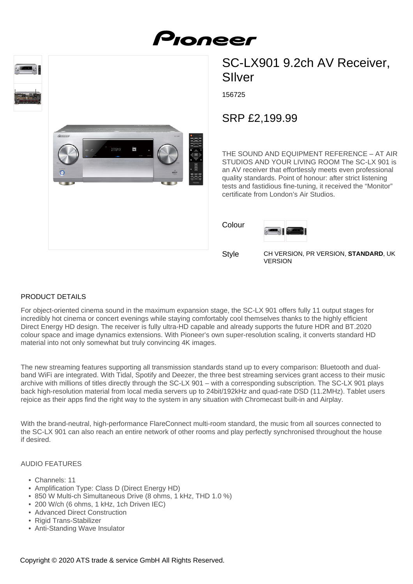

# SC-LX901 9.2ch AV Receiver, SIlver

156725

## SRP £2,199.99

THE SOUND AND EQUIPMENT REFERENCE – AT AIR STUDIOS AND YOUR LIVING ROOM The SC-LX 901 is an AV receiver that effortlessly meets even professional quality standards. Point of honour: after strict listening tests and fastidious fine-tuning, it received the "Monitor" certificate from London's Air Studios.

| Colour |  |
|--------|--|
|        |  |

**Style** 

CH VERSION, PR VERSION, **STANDARD**, UK VERSION

#### PRODUCT DETAILS

For object-oriented cinema sound in the maximum expansion stage, the SC-LX 901 offers fully 11 output stages for incredibly hot cinema or concert evenings while staying comfortably cool themselves thanks to the highly efficient Direct Energy HD design. The receiver is fully ultra-HD capable and already supports the future HDR and BT.2020 colour space and image dynamics extensions. With Pioneer's own super-resolution scaling, it converts standard HD material into not only somewhat but truly convincing 4K images.

The new streaming features supporting all transmission standards stand up to every comparison: Bluetooth and dualband WiFi are integrated. With Tidal, Spotify and Deezer, the three best streaming services grant access to their music archive with millions of titles directly through the SC-LX 901 – with a corresponding subscription. The SC-LX 901 plays back high-resolution material from local media servers up to 24bit/192kHz and quad-rate DSD (11.2MHz). Tablet users rejoice as their apps find the right way to the system in any situation with Chromecast built-in and Airplay.

With the brand-neutral, high-performance FlareConnect multi-room standard, the music from all sources connected to the SC-LX 901 can also reach an entire network of other rooms and play perfectly synchronised throughout the house if desired.

#### AUDIO FEATURES

- Channels: 11
- Amplification Type: Class D (Direct Energy HD)
- 850 W Multi-ch Simultaneous Drive (8 ohms, 1 kHz, THD 1.0 %)
- 200 W/ch (6 ohms, 1 kHz, 1ch Driven IEC)
- Advanced Direct Construction
- Rigid Trans-Stabilizer
- Anti-Standing Wave Insulator